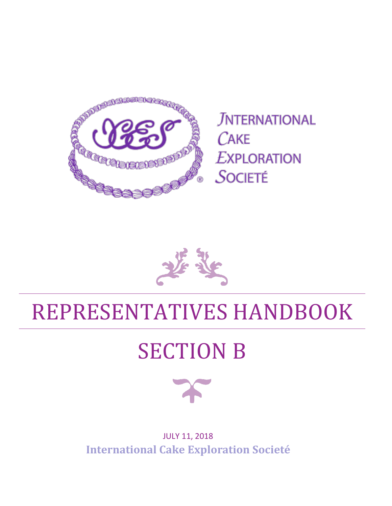

**JNTERNATIONAL**  $CAKE$ **EXPLORATION** SOCIETÉ

## REPRESENTATIVES HANDBOOK

## SECTION B



JULY 11, 2018 **International Cake Exploration Societé**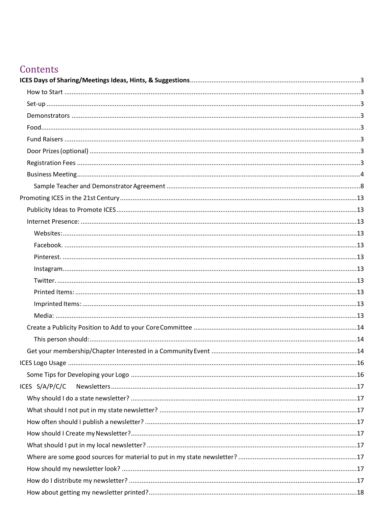### Contents

| ICES S/A/P/C/C |  |
|----------------|--|
|                |  |
|                |  |
|                |  |
|                |  |
|                |  |
|                |  |
|                |  |
|                |  |
|                |  |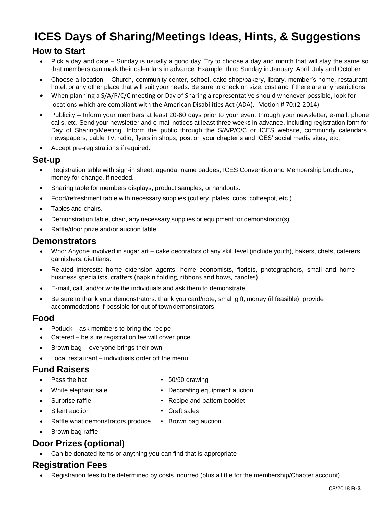## <span id="page-3-0"></span>**ICES Days of Sharing/Meetings Ideas, Hints, & Suggestions**

#### <span id="page-3-1"></span>**How to Start**

- Pick a day and date Sunday is usually a good day. Try to choose a day and month that will stay the same so that members can mark their calendars in advance. Example: third Sunday in January, April, July and October.
- Choose a location Church, community center, school, cake shop/bakery, library, member's home, restaurant, hotel, or any other place that will suit your needs. Be sure to check on size, cost and if there are any restrictions.
- When planning a S/A/P/C/C meeting or Day of Sharing a representative should whenever possible, look for locations which are compliant with the American Disabilities Act (ADA). Motion # 70:(2-2014)
- Publicity Inform your members at least 20-60 days prior to your event through your newsletter, e-mail, phone calls, etc. Send your newsletter and e-mail notices at least three weeks in advance, including registration form for Day of Sharing/Meeting. Inform the public through the S/A/P/C/C or ICES website, community calendars, newspapers, cable TV, radio, flyers in shops, post on your chapter's and ICES' social media sites, etc.
- Accept pre-registrations if required.

#### <span id="page-3-2"></span>**Set-up**

- Registration table with sign-in sheet, agenda, name badges, ICES Convention and Membership brochures, money for change, if needed.
- Sharing table for members displays, product samples, or handouts.
- Food/refreshment table with necessary supplies (cutlery, plates, cups, coffeepot, etc.)
- Tables and chairs.
- Demonstration table, chair, any necessary supplies or equipment for demonstrator(s).
- Raffle/door prize and/or auction table.

#### <span id="page-3-3"></span>**Demonstrators**

- Who: Anyone involved in sugar art cake decorators of any skill level (include youth), bakers, chefs, caterers, garnishers, dietitians.
- Related interests: home extension agents, home economists, florists, photographers, small and home business specialists, crafters (napkin folding, ribbons and bows, candles).
- E-mail, call, and/or write the individuals and ask them to demonstrate.
- Be sure to thank your demonstrators: thank you card/note, small gift, money (if feasible), provide accommodations if possible for out of towndemonstrators.

#### <span id="page-3-4"></span>**Food**

- Potluck ask members to bring the recipe
- Catered be sure registration fee will cover price
- Brown bag everyone brings their own
- Local restaurant individuals order off the menu

#### <span id="page-3-5"></span>**Fund Raisers**

- Pass the hat 50/50 drawing
- White elephant sale **•** Decorating equipment auction
- Surprise raffle **•** Recipe and pattern booklet
- Silent auction Craft sales
- Raffle what demonstrators produce Brown bag auction
	-

• Brown bag raffle

#### <span id="page-3-6"></span>**Door Prizes (optional)**

• Can be donated items or anything you can find that is appropriate

#### <span id="page-3-7"></span>**Registration Fees**

• Registration fees to be determined by costs incurred (plus a little for the membership/Chapter account)

- 
- 
- 
-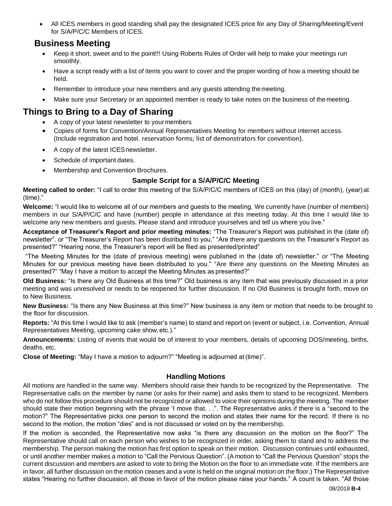• All ICES members in good standing shall pay the designated ICES price for any Day of Sharing/Meeting/Event for S/A/P/C/C Members of ICES.

#### <span id="page-4-0"></span>**Business Meeting**

- Keep it short, sweet and to the point!!! Using Roberts Rules of Order will help to make your meetings run smoothly.
- Have a script ready with a list of items you want to cover and the proper wording of how a meeting should be held.
- Remember to introduce your new members and any quests attending the meeting.
- Make sure vour Secretary or an appointed member is ready to take notes on the business of the meeting.

#### **Things to Bring to a Day of Sharing**

- A copy of your latest newsletter to your members
- Copies of forms for Convention/Annual Representatives Meeting for members without internet access. (Include registration and hotel. reservation forms; list of demonstrators for convention).
- A copy of the latest ICESnewsletter.
- Schedule of important dates.
- Membership and Convention Brochures.

#### **Sample Script for a S/A/P/C/C Meeting**

**Meeting called to order:** "I call to order this meeting of the S/A/P/C/C members of ICES on this (day) of (month), (year)at (time)."

**Welcome:** "I would like to welcome all of our members and guests to the meeting. We currently have (number of members) members in our S/A/P/C/C and have (number) people in attendance at this meeting today. At this time I would like to welcome any new members and guests. Please stand and introduce yourselves and tell us where you live."

**Acceptance of Treasurer's Report and prior meeting minutes:** "The Treasurer's Report was published in the (date of) newsletter". *or* "The Treasurer's Report has been distributed to you." "Are there any questions on the Treasurer's Report as presented?" "Hearing none, the Treasurer's report will be filed as presented/printed"

"The Meeting Minutes for the (date of previous meeting) were published in the (date of) newsletter." *or* "The Meeting Minutes for our previous meeting have been distributed to you." "Are there any questions on the Meeting Minutes as presented?" "May I have a motion to accept the Meeting Minutes as presented?"

**Old Business:** "Is there any Old Business at this time?" Old business is any item that was previously discussed in a prior meeting and was unresolved or needs to be reopened for further discussion. If no Old Business is brought forth, move on to New Business.

**New Business:** "Is there any New Business at this time?" New business is any item or motion that needs to be brought to the floor for discussion.

**Reports:** "At this time I would like to ask (member's name) to stand and report on (event or subject, i.e. Convention, Annual Representatives Meeting, upcoming cake show,etc.)."

**Announcements:** Listing of events that would be of interest to your members, details of upcoming DOS/meeting, births, deaths, etc.

**Close of Meeting:** "May I have a motion to adjourn?" "Meeting is adjourned at(time)".

#### **Handling Motions**

All motions are handled in the same way. Members should raise their hands to be recognized by the Representative. The Representative calls on the member by name (or asks for their name) and asks them to stand to be recognized. Members who do not follow this procedure should not be recognized or allowed to voice their opinions during the meeting. The member should state their motion beginning with the phrase 'I move that. . .". The Representative asks if there is a "second to the motion?" The Representative picks one person to second the motion and states their name for the record. If there is no second to the motion, the motion "dies" and is not discussed or voted on by the membership.

If the motion is seconded, the Representative now asks "is there any discussion on the motion on the floor?" The Representative should call on each person who wishes to be recognized in order, asking them to stand and to address the membership. The person making the motion has first option to speak on their motion. Discussion continues until exhausted, or until another member makes a motion to "Call the Pervious Question". (A motion to "Call the Pervious Question" stops the current discussion and members are asked to vote to bring the Motion on the floor to an immediate vote. If the members are in favor, all further discussion on the motion ceases and a vote is held on the original motion on the floor.) The Representative states "Hearing no further discussion, all those in favor of the motion please raise your hands." A count is taken. "All those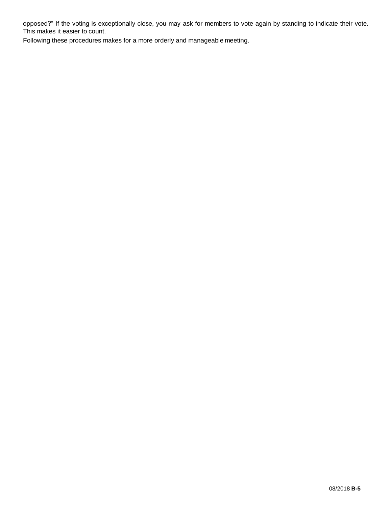opposed?" If the voting is exceptionally close, you may ask for members to vote again by standing to indicate their vote. This makes it easier to count.

Following these procedures makes for a more orderly and manageable meeting.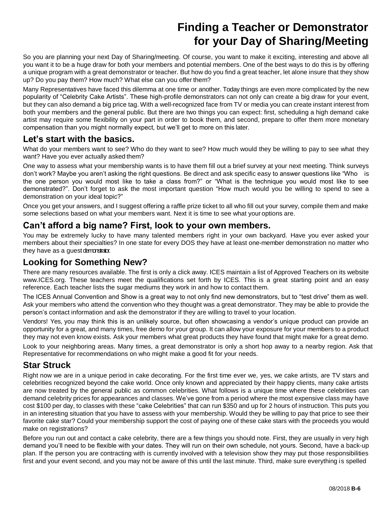## **Finding a Teacher or Demonstrator for your Day of Sharing/Meeting**

So you are planning your next Day of Sharing/meeting. Of course, you want to make it exciting, interesting and above all you want it to be a huge draw for both your members and potential members. One of the best ways to do this is by offering a unique program with a great demonstrator or teacher. But how do you find a great teacher, let alone insure that they show up? Do you pay them? How much? What else can you offer them?

Many Representatives have faced this dilemma at one time or another. Today things are even more complicated by the new popularity of "Celebrity Cake Artists". These high-profile demonstrators can not only can create a big draw for your event, but they can also demand a big price tag. With a well-recognized face from TV or media you can create instant interest from both your members and the general public. But there are two things you can expect: first, scheduling a high demand cake artist may require some flexibility on your part in order to book them, and second, prepare to offer them more monetary compensation than you might normally expect, but we'll get to more on this later.

#### **Let's start with the basics.**

What do your members want to see? Who do they want to see? How much would they be willing to pay to see what they want? Have you ever actually asked them?

One way to assess what your membership wants is to have them fill out a brief survey at your next meeting. Think surveys don't work? Maybe you aren't asking the right questions. Be direct and ask specific easy to answer questions like "Who is the one person you would most like to take a class from?" or "What is the technique you would most like to see demonstrated?". Don't forget to ask the most important question "How much would you be willing to spend to see a demonstration on your ideal topic?"

Once you get your answers, and I suggest offering a raffle prize ticket to all who fill out your survey, compile them and make some selections based on what your members want. Next it is time to see what youroptions are.

#### **Can't afford a big name? First, look to your own members.**

You may be extremely lucky to have many talented members right in your own backyard. Have you ever asked your members about their specialties? In one state for every DOS they have at least one-member demonstration no matter who they have as a guest demonstrator.

#### **Looking for Something New?**

There are many resources available. The first is only a click away. ICES maintain a list of Approved Teachers on its website [www.ICES.org.](http://www.ices.org/) These teachers meet the qualifications set forth by ICES. This is a great starting point and an easy reference. Each teacher lists the sugar mediums they work in and how to contact them.

The ICES Annual Convention and Show is a great way to not only find new demonstrators, but to "test drive" them as well. Ask your members who attend the convention who they thought was a great demonstrator. They may be able to provide the person's contact information and ask the demonstrator if they are willing to travel to your location.

Vendors! Yes, you may think this is an unlikely source, but often showcasing a vendor's unique product can provide an opportunity for a great, and many times, free demo for your group. It can allow your exposure for your members to a product they may not even know exists. Ask your members what great products they have found that might make for a great demo.

Look to your neighboring areas. Many times, a great demonstrator is only a short hop away to a nearby region. Ask that Representative for recommendations on who might make a good fit for your needs.

#### **Star Struck**

Right now we are in a unique period in cake decorating. For the first time ever we, yes, we cake artists, are TV stars and celebrities recognized beyond the cake world. Once only known and appreciated by their happy clients, many cake artists are now treated by the general public as common celebrities. What follows is a unique time where these celebrities can demand celebrity prices for appearances and classes. We've gone from a period where the most expensive class may have cost \$100 per day, to classes with these "cake Celebrities" that can run \$350 and up for 2 hours of instruction. This puts you in an interesting situation that you have to assess with your membership. Would they be willing to pay that price to see their favorite cake star? Could your membership support the cost of paying one of these cake stars with the proceeds you would make on registrations?

Before you run out and contact a cake celebrity, there are a few things you should note. First, they are usually in very high demand you'll need to be flexible with your dates. They will run on their own schedule, not yours. Second, have a back-up plan. If the person you are contracting with is currently involved with a television show they may put those responsibilities first and your event second, and you may not be aware of this until the last minute. Third, make sure everything is spelled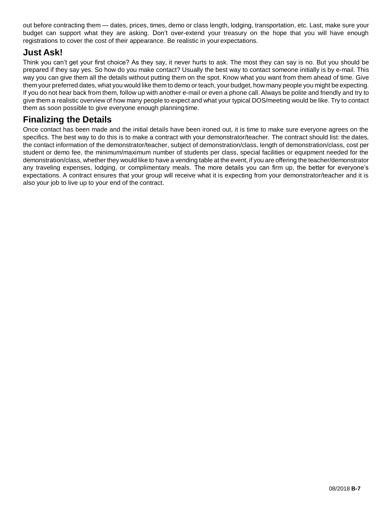out before contracting them — dates, prices, times, demo or class length, lodging, transportation, etc. Last, make sure your budget can support what they are asking. Don't over-extend your treasury on the hope that you will have enough registrations to cover the cost of their appearance. Be realistic in yourexpectations.

#### **Just Ask!**

Think you can't get your first choice? As they say, it never hurts to ask. The most they can say is no. But you should be prepared if they say yes. So how do you make contact? Usually the best way to contact someone initially is by e-mail. This way you can give them all the details without putting them on the spot. Know what you want from them ahead of time. Give them your preferred dates, what you would like them to demo or teach, your budget, how many people you might be expecting. If you do not hear back from them, follow up with another e-mail or even a phone call. Always be polite and friendly and try to give them a realistic overview of how many people to expect and what your typical DOS/meeting would be like. Try to contact them as soon possible to give everyone enough planningtime.

#### **Finalizing the Details**

Once contact has been made and the initial details have been ironed out, it is time to make sure everyone agrees on the specifics. The best way to do this is to make a contract with your demonstrator/teacher. The contract should list: the dates, the contact information of the demonstrator/teacher, subject of demonstration/class, length of demonstration/class, cost per student or demo fee, the minimum/maximum number of students per class, special facilities or equipment needed for the demonstration/class, whether they would like to have a vending table at the event, if you are offering the teacher/demonstrator any traveling expenses, lodging, or complimentary meals. The more details you can firm up, the better for everyone's expectations. A contract ensures that your group will receive what it is expecting from your demonstrator/teacher and it is also your job to live up to your end of the contract.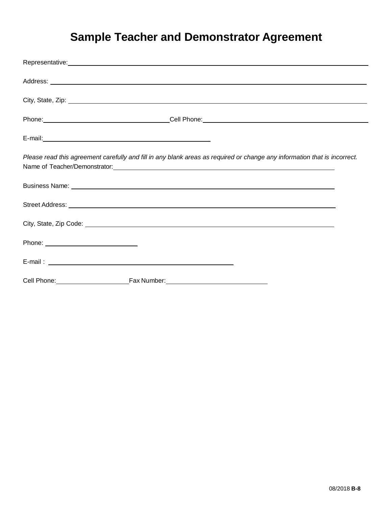## **Sample Teacher and Demonstrator Agreement**

<span id="page-8-0"></span>

| Representative: Network and the set of the set of the set of the set of the set of the set of the set of the set of the set of the set of the set of the set of the set of the set of the set of the set of the set of the set      |  |
|-------------------------------------------------------------------------------------------------------------------------------------------------------------------------------------------------------------------------------------|--|
|                                                                                                                                                                                                                                     |  |
|                                                                                                                                                                                                                                     |  |
|                                                                                                                                                                                                                                     |  |
|                                                                                                                                                                                                                                     |  |
| Please read this agreement carefully and fill in any blank areas as required or change any information that is incorrect.                                                                                                           |  |
|                                                                                                                                                                                                                                     |  |
|                                                                                                                                                                                                                                     |  |
|                                                                                                                                                                                                                                     |  |
|                                                                                                                                                                                                                                     |  |
|                                                                                                                                                                                                                                     |  |
| Cell Phone: <u>Cell Phone:</u> Cell Phone: Cell Phone: Cell Phone: Cell Phone: Cell Phone: Cell Phone: Cell Phone: Cell Phone: Cell Phone: Cell Phone: Cell Phone: Cell Phone: Cell Phone: Cell Phone: Cell Phone: Cell Phone: Cell |  |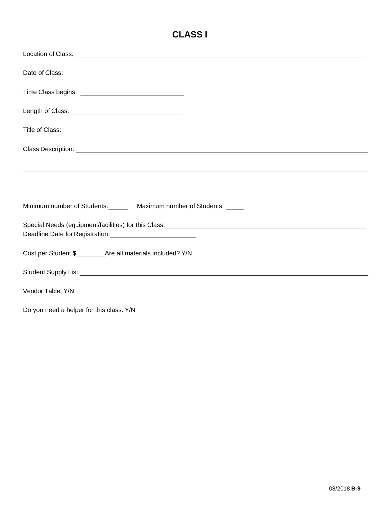### **CLASS I**

| Location of Class: Note and Security and Security and Security and Security and Security and Security and Security and Security and Security and Security and Security and Security and Security and Security and Security and       |
|--------------------------------------------------------------------------------------------------------------------------------------------------------------------------------------------------------------------------------------|
| Date of Class: <u>contract and contract and contract and contract and contract and contract and contract of the set</u>                                                                                                              |
|                                                                                                                                                                                                                                      |
|                                                                                                                                                                                                                                      |
| Title of Class: <u>example and contract and contract and contract and contract and contract and contract and contract of the set of the set of the set of the set of the set of the set of the set of the set of the set of the </u> |
|                                                                                                                                                                                                                                      |
| <u> 1999 - Johann Harry Harry Harry Harry Harry Harry Harry Harry Harry Harry Harry Harry Harry Harry Harry Harry</u>                                                                                                                |
| ,我们也不会有什么。""我们的人,我们也不会有什么?""我们的人,我们也不会有什么?""我们的人,我们也不会有什么?""我们的人,我们也不会有什么?""我们的人                                                                                                                                                     |
| Minimum number of Students: Maximum number of Students: 1986                                                                                                                                                                         |
| Deadline Date for Registration: Deadline Date for Registration:                                                                                                                                                                      |
|                                                                                                                                                                                                                                      |
|                                                                                                                                                                                                                                      |
| Vendor Table: Y/N                                                                                                                                                                                                                    |
| Do you need a helper for this class: Y/N                                                                                                                                                                                             |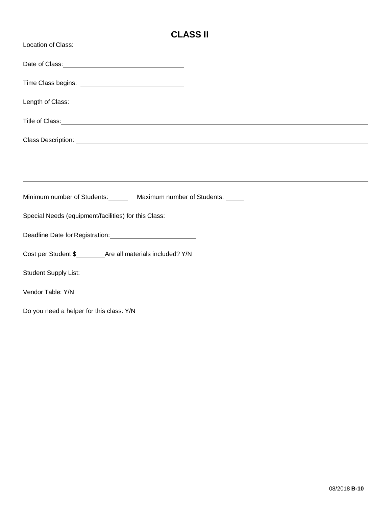### **CLASS II**

| Location of Class: <u>contract and contract and contract and contract and contract and contract and contract and contract and contract and contract and contract and contract and contract and contract and contract and contrac</u> |  |  |
|--------------------------------------------------------------------------------------------------------------------------------------------------------------------------------------------------------------------------------------|--|--|
| Date of Class: <u>contract and contract and contract and contract and contract and contract and contract and contract and contract and contract and contract and contract and contract and contract and contract and contract an</u> |  |  |
|                                                                                                                                                                                                                                      |  |  |
|                                                                                                                                                                                                                                      |  |  |
| Title of Class: <u>example and contract and contract and contract and contract and contract and contract and contract of the set of the set of the set of the set of the set of the set of the set of the set of the set of the </u> |  |  |
| Class Description: <u>example and the contract of the contract of the contract of the contract of the contract of the contract of the contract of the contract of the contract of the contract of the contract of the contract o</u> |  |  |
| <u> 1990 - Andrea Barbara, Amerikaansk politiker (d. 1980)</u>                                                                                                                                                                       |  |  |
| ,我们也不会有什么。""我们的人,我们也不会有什么?""我们的人,我们也不会有什么?""我们的人,我们也不会有什么?""我们的人,我们也不会有什么?""我们的人                                                                                                                                                     |  |  |
| Minimum number of Students: Maximum number of Students: 1986                                                                                                                                                                         |  |  |
|                                                                                                                                                                                                                                      |  |  |
| Deadline Date for Registration: Deadline Date for Registration:                                                                                                                                                                      |  |  |
|                                                                                                                                                                                                                                      |  |  |
|                                                                                                                                                                                                                                      |  |  |
| Vendor Table: Y/N                                                                                                                                                                                                                    |  |  |
| Do you need a helper for this class: Y/N                                                                                                                                                                                             |  |  |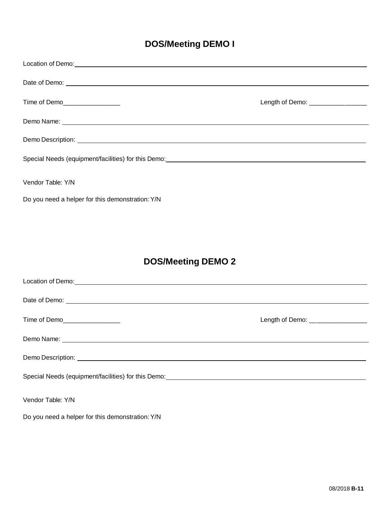### **DOS/Meeting DEMO I**

| Time of Demo__________________                   | Length of Demo: _________________ |
|--------------------------------------------------|-----------------------------------|
|                                                  |                                   |
|                                                  |                                   |
|                                                  |                                   |
| Vendor Table: Y/N                                |                                   |
| Do you need a helper for this demonstration: Y/N |                                   |
|                                                  |                                   |

### **DOS/Meeting DEMO 2**

| Location of Demo:<br><u> Location</u> of Demo:                                                                                          |                                    |
|-----------------------------------------------------------------------------------------------------------------------------------------|------------------------------------|
|                                                                                                                                         |                                    |
| Time of Demo__________________                                                                                                          | Length of Demo: __________________ |
|                                                                                                                                         |                                    |
|                                                                                                                                         |                                    |
| Special Needs (equipment/facilities) for this Demo: Manual Assemblue Control of the Special Needs (equipment/facilities) for this Demo: |                                    |
| Vendor Table: Y/N                                                                                                                       |                                    |
| Do you need a helper for this demonstration: Y/N                                                                                        |                                    |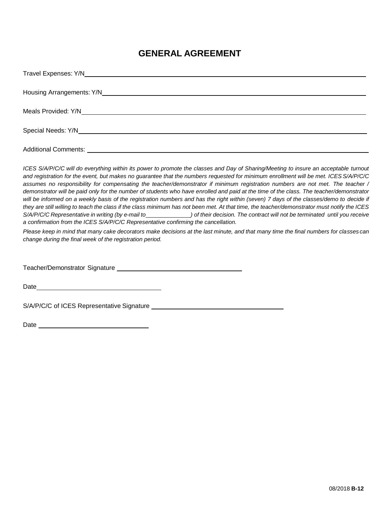#### **GENERAL AGREEMENT**

| <b>Additional Comments:</b> |
|-----------------------------|

*ICES S/A/P/C/C will do everything within its power to promote the classes and Day of Sharing/Meeting to insure an acceptable turnout and registration for the event, but makes no guarantee that the numbers requested for minimum enrollment will be met. ICES S/A/P/C/C assumes no responsibility for compensating the teacher/demonstrator if minimum registration numbers are not met. The teacher / demonstrator will be paid only for the number of students who have enrolled and paid at the time of the class. The teacher/demonstrator*  will be informed on a weekly basis of the registration numbers and has the right within (seven) 7 days of the classes/demo to decide if *they are still willing to teach the class if the class minimum has not been met. At that time, the teacher/demonstrator must notify the ICES*  S/A/P/C/C Representative in writing (by e-mail to sale of their decision. The contract will not be terminated until you receive *a confirmation from the ICES S/A/P/C/C Representative confirming the cancellation.*

*Please keep in mind that many cake decorators make decisions at the last minute, and that many time the final numbers for classes can change during the final week of the registration period.*

Teacher/Demonstrator Signature

Date and the contract of the contract of the contract of the contract of the contract of the contract of the contract of the contract of the contract of the contract of the contract of the contract of the contract of the c

S/A/P/C/C of ICES Representative Signature

Date and the contract of the contract of the contract of the contract of the contract of the contract of the contract of the contract of the contract of the contract of the contract of the contract of the contract of the c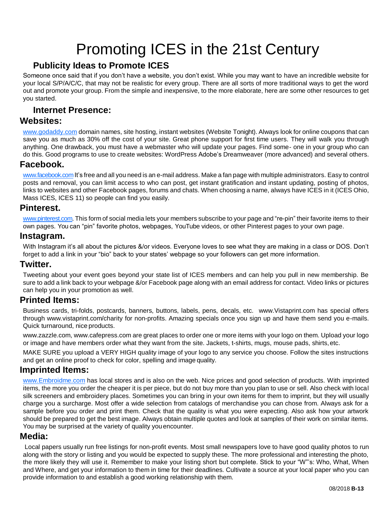## Promoting ICES in the 21st Century

#### <span id="page-13-0"></span>**Publicity Ideas to Promote ICES**

<span id="page-13-1"></span>Someone once said that if you don't have a website, you don't exist. While you may want to have an incredible website for your local S/P/A/C/C, that may not be realistic for every group. There are all sorts of more traditional ways to get the word out and promote your group. From the simple and inexpensive, to the more elaborate, here are some other resources to get you started.

#### **Internet Presence:**

#### <span id="page-13-3"></span><span id="page-13-2"></span>**Websites:**

[www.godaddy.com](http://www.godaddy.com/) domain names, site hosting, instant websites (Website Tonight). Always look for online coupons that can save you as much as 30% off the cost of your site. Great phone support for first time users. They will walk you through anything. One drawback, you must have a webmaster who will update your pages. Find some- one in your group who can do this. Good programs to use to create websites: WordPress Adobe's Dreamweaver (more advanced) and several others.

#### <span id="page-13-4"></span>**Facebook.**

www.facebook.com It's free and all you need is an e-mail address. Make a fan page with multiple administrators. Easy to control posts and removal, you can limit access to who can post, get instant gratification and instant updating, posting of photos, links to websites and other Facebook pages, forums and chats. When choosing a name, always have ICES in it (ICES Ohio, Mass ICES, ICES 11) so people can find you easily.

#### <span id="page-13-5"></span>**Pinterest.**

[www.pinterest.com.](http://www.pinterest.com/) This form of social media lets your members subscribe to your page and "re-pin" their favorite items to their own pages. You can "pin" favorite photos, webpages, YouTube videos, or other Pinterest pages to your own page.

#### <span id="page-13-6"></span>**Instagram.**

With Instagram it's all about the pictures &/or videos. Everyone loves to see what they are making in a class or DOS. Don't forget to add a link in your "bio" back to your states' webpage so your followers can get more information.

#### <span id="page-13-7"></span>**Twitter.**

Tweeting about your event goes beyond your state list of ICES members and can help you pull in new membership. Be sure to add a link back to your webpage &/or Facebook page along with an email address for contact. Video links or pictures can help you in your promotion as well.

#### <span id="page-13-8"></span>**Printed Items:**

Business cards, tri-folds, postcards, banners, buttons, labels, pens, decals, etc. [www.Vistaprint.com](http://www.vistaprint.com/) has special offers through [www.vistaprint.com/charity](http://www.vistaprint.com/charity) for non-profits. Amazing specials once you sign up and have them send you e-mails. Quick turnaround, nice products.

[www.zazzle.com,](http://www.zazzle.com/) [www.cafepress.com](http://www.cafepress.com/) are great places to order one or more items with your logo on them. Upload your logo or image and have members order what they want from the site. Jackets, t-shirts, mugs, mouse pads, shirts,etc.

MAKE SURE you upload a VERY HIGH quality image of your logo to any service you choose. Follow the sites instructions and get an online proof to check for color, spelling and image quality.

#### <span id="page-13-9"></span>**Imprinted Items:**

[www.Embroidme.com](http://www.embroidme.com/) has local stores and is also on the web. Nice prices and good selection of products. With imprinted items, the more you order the cheaper it is per piece, but do not buy more than you plan to use or sell. Also check with local silk screeners and embroidery places. Sometimes you can bring in your own items for them to imprint, but they will usually charge you a surcharge. Most offer a wide selection from catalogs of merchandise you can chose from. Always ask for a sample before you order and print them. Check that the quality is what you were expecting. Also ask how your artwork should be prepared to get the best image. Always obtain multiple quotes and look at samples of their work on similar items. You may be surprised at the variety of quality youencounter.

#### <span id="page-13-10"></span>**Media:**

Local papers usually run free listings for non-profit events. Most small newspapers love to have good quality photos to run along with the story or listing and you would be expected to supply these. The more professional and interesting the photo, the more likely they will use it. Remember to make your listing short but complete. Stick to your "W"'s: Who, What, When and Where, and get your information to them in time for their deadlines. Cultivate a source at your local paper who you can provide information to and establish a good working relationship with them.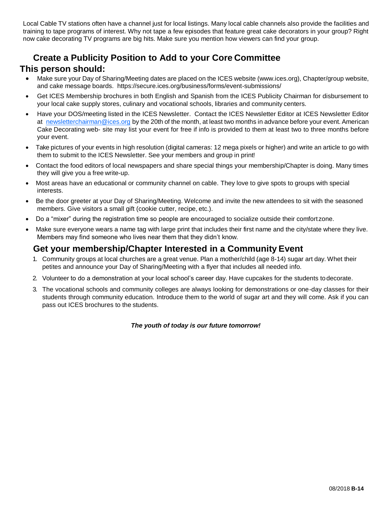Local Cable TV stations often have a channel just for local listings. Many local cable channels also provide the facilities and training to tape programs of interest. Why not tape a few episodes that feature great cake decorators in your group? Right now cake decorating TV programs are big hits. Make sure you mention how viewers can find your group.

#### <span id="page-14-1"></span><span id="page-14-0"></span>**Create a Publicity Position to Add to your Core Committee This person should:**

- Make sure your Day of Sharing/Meeting dates are placed on the ICES website (www.ices.org), Chapter/group website, and cake message boards. https://secure.ices.org/business/forms/event-submissions/
- Get ICES Membership brochures in both English and Spanish from the ICES Publicity Chairman for disbursement to your local cake supply stores, culinary and vocational schools, libraries and community centers.
- Have your DOS/meeting listed in the ICES Newsletter. Contact the ICES Newsletter Editor at ICES Newsletter Editor at [newsletterchairman@ices.org](mailto:newsletterchairman@ices.org) by the 20th of the month, at least two months in advance before your event. American Cake Decorating web- site may list your event for free if info is provided to them at least two to three months before your event.
- Take pictures of your events in high resolution (digital cameras: 12 mega pixels or higher) and write an article to go with them to submit to the ICES Newsletter. See your members and group in print!
- Contact the food editors of local newspapers and share special things your membership/Chapter is doing. Many times they will give you a free write-up.
- Most areas have an educational or community channel on cable. They love to give spots to groups with special interests.
- Be the door greeter at your Day of Sharing/Meeting. Welcome and invite the new attendees to sit with the seasoned members. Give visitors a small gift (cookie cutter, recipe, etc.).
- Do a "mixer" during the registration time so people are encouraged to socialize outside their comfort zone.
- Make sure everyone wears a name tag with large print that includes their first name and the city/state where they live. Members may find someone who lives near them that they didn't know.

#### <span id="page-14-2"></span>**Get your membership/Chapter Interested in a Community Event**

- 1. Community groups at local churches are a great venue. Plan a mother/child (age 8-14) sugar art day. Whet their petites and announce your Day of Sharing/Meeting with a flyer that includes all needed info.
- 2. Volunteer to do a demonstration at your local school's career day. Have cupcakes for the students todecorate.
- 3. The vocational schools and community colleges are always looking for demonstrations or one-day classes for their students through community education. Introduce them to the world of sugar art and they will come. Ask if you can pass out ICES brochures to the students.

#### *The youth of today is our future tomorrow!*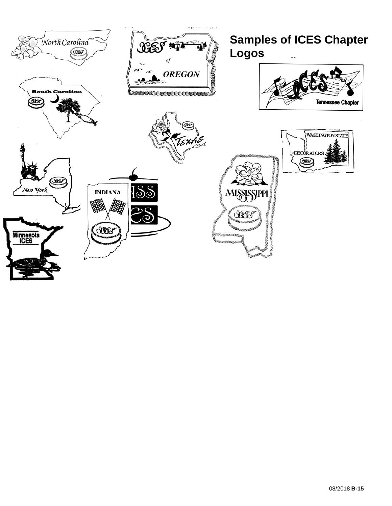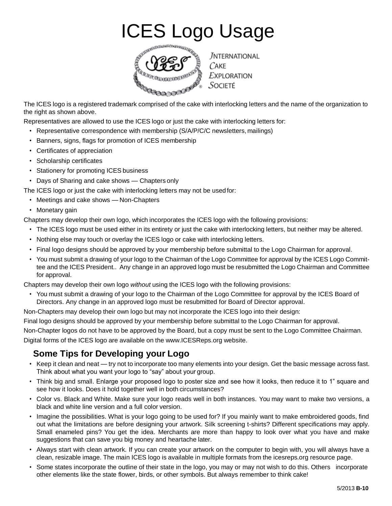## ICES Logo Usage



<span id="page-16-0"></span>The ICES logo is a registered trademark comprised of the cake with interlocking letters and the name of the organization to the right as shown above.

Representatives are allowed to use the ICES logo or just the cake with interlocking letters for:

- Representative correspondence with membership (S/A/P/C/C newsletters, mailings)
- Banners, signs, flags for promotion of ICES membership
- Certificates of appreciation
- Scholarship certificates
- Stationery for promoting ICES business
- Days of Sharing and cake shows Chaptersonly

The ICES logo or just the cake with interlocking letters may not be usedfor:

- Meetings and cake shows Non-Chapters
- Monetary gain

Chapters may develop their own logo, which incorporates the ICES logo with the following provisions:

- The ICES logo must be used either in its entirety or just the cake with interlocking letters, but neither may be altered.
- Nothing else may touch or overlay the ICES logo or cake with interlocking letters.
- Final logo designs should be approved by your membership before submittal to the Logo Chairman for approval.
- You must submit a drawing of your logo to the Chairman of the Logo Committee for approval by the ICES Logo Committee and the ICES President.. Any change in an approved logo must be resubmitted the Logo Chairman and Committee for approval.

Chapters may develop their own logo *without* using the ICES logo with the following provisions:

• You must submit a drawing of your logo to the Chairman of the Logo Committee for approval by the ICES Board of Directors. Any change in an approved logo must be resubmitted for Board of Director approval.

Non-Chapters may develop their own logo but may not incorporate the ICES logo into their design:

Final logo designs should be approved by your membership before submittal to the Logo Chairman for approval.

Non-Chapter logos do not have to be approved by the Board, but a copy must be sent to the Logo Committee Chairman.

<span id="page-16-1"></span>Digital forms of the ICES logo are available on the [www.ICESReps.org](http://www.icesreps.org/) website.

### **Some Tips for Developing your Logo**

- Keep it clean and neat try not toincorporate too many elements into your design. Get the basic message across fast. Think about what you want your logo to "say" about yourgroup.
- Think big and small. Enlarge your proposed logo to poster size and see how it looks, then reduce it to 1" square and see how it looks. Does it hold together well in both circumstances?
- Color vs. Black and White. Make sure your logo reads well in both instances. You may want to make two versions, a black and white line version and a full color version.
- Imagine the possibilities. What is your logo going to be used for? If you mainly want to make embroidered goods, find out what the limitations are before designing your artwork. Silk screening t-shirts? Different specifications may apply. Small enameled pins? You get the idea. Merchants are more than happy to look over what you have and make suggestions that can save you big money and heartache later.
- Always start with clean artwork. If you can create your artwork on the computer to begin with, you will always have a clean, resizable image. The main ICES logo is available in multiple formats from the icesreps.org resource page.
- Some states incorporate the outline of their state in the logo, you may or may not wish to do this. Others incorporate other elements like the state flower, birds, or other symbols. But always remember to think cake!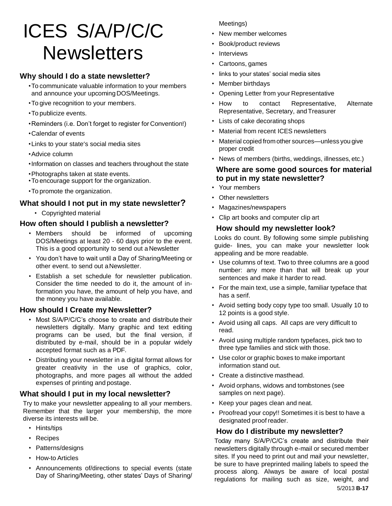## <span id="page-17-0"></span>ICES S/A/P/C/C **Newsletters**

#### <span id="page-17-1"></span>**Why should I do a state newsletter?**

- •To communicate valuable information to your members and announce your upcoming DOS/Meetings.
- •To give recognition to your members.
- •To publicize events.
- •Reminders (i.e. Don't forget to register for Convention!)
- •Calendar of events
- •Links to your state's social media sites
- •Advice column
- •Information on classes and teachers throughout the state
- •Photographs taken at state events.
- •To encourage support for the organization.
- •To promote the organization.

#### <span id="page-17-2"></span>**What should I not put in my state newsletter?**

• Copyrighted material

#### <span id="page-17-3"></span>**How often should I publish a newsletter?**

- Members should be informed of upcoming DOS/Meetings at least 20 - 60 days prior to the event. This is a good opportunity to send out a Newsletter
- You don't have to wait until a Day of Sharing/Meeting or other event. to send out aNewsletter.
- Establish a set schedule for newsletter publication. Consider the time needed to do it, the amount of information you have, the amount of help you have, and the money you have available.

#### <span id="page-17-4"></span>**How should I Create my Newsletter?**

- Most S/A/P/C/C's choose to create and distribute their newsletters digitally. Many graphic and text editing programs can be used, but the final version, if distributed by e-mail, should be in a popular widely accepted format such as a PDF.
- Distributing your newsletter in a digital format allows for greater creativity in the use of graphics, color, photographs, and more pages all without the added expenses of printing and postage.

#### <span id="page-17-5"></span>**What should I put in my local newsletter?**

Try to make your newsletter appealing to all your members. Remember that the larger your membership, the more diverse its interests will be.

- Hints/tips
- Recipes
- Patterns/designs
- How-to Articles
- Announcements of/directions to special events (state Day of Sharing/Meeting, other states' Days of Sharing/

Meetings)

- New member welcomes
- Book/product reviews
- **Interviews**
- Cartoons, games
- links to your states' social media sites
- Member birthdays
- Opening Letter from your Representative
- How to contact Representative, Alternate Representative, Secretary, andTreasurer
- Lists of cake decorating shops
- Material from recent ICES newsletters
- Material copied from other sources—unless you give proper credit
- <span id="page-17-6"></span>• News of members (births, weddings, illnesses,etc.)

#### **Where are some good sources for material to put in my state newsletter?**

- Your members
- Other newsletters
- Magazines/newspapers
- <span id="page-17-7"></span>• Clip art books and computer clip art

#### **How should my newsletter look?**

Looks do count. By following some simple publishing guide- lines, you can make your newsletter look appealing and be more readable.

- Use columns of text. Two to three columns are a good number: any more than that will break up your sentences and make it harder to read.
- For the main text, use a simple, familiar typeface that has a serif.
- Avoid setting body copy type too small. Usually 10 to 12 points is a good style.
- Avoid using all caps. All caps are very difficult to read.
- Avoid using multiple random typefaces, pick two to three type families and stick with those.
- Use color or graphic boxes to make important information stand out.
- Create a distinctive masthead.
- Avoid orphans, widows and tombstones (see samples on next page).
- Keep your pages clean and neat.
- Proofread your copy!! Sometimes it is best to have a designated proof reader.

#### <span id="page-17-8"></span>**How do I distribute my newsletter?**

Today many S/A/P/C/C's create and distribute their newsletters digitally through e-mail or secured member sites. If you need to print out and mail your newsletter, be sure to have preprinted mailing labels to speed the process along. Always be aware of local postal regulations for mailing such as size, weight, and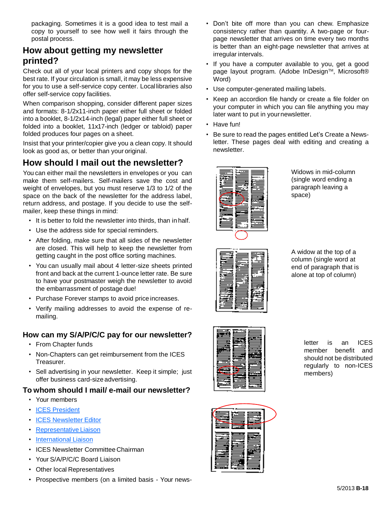packaging. Sometimes it is a good idea to test mail a copy to yourself to see how well it fairs through the postal process.

#### <span id="page-18-0"></span>**How about getting my newsletter printed?**

Check out all of your local printers and copy shops for the best rate. If your circulation is small, it may be less expensive for you to use a self-service copy center. Local libraries also offer self-service copy facilities.

When comparison shopping, consider different paper sizes and formats: 8-1/2x11-inch paper either full sheet or folded into a booklet, 8-1/2x14-inch (legal) paper either full sheet or folded into a booklet, 11x17-inch (ledger or tabloid) paper folded produces four pages on a sheet.

Insist that your printer/copier give you a clean copy. It should look as good as, or better than your original.

### <span id="page-18-1"></span>**How should I mail out the newsletter?**

You can either mail the newsletters in envelopes or you can make them self-mailers. Self-mailers save the cost and weight of envelopes, but you must reserve 1/3 to 1/2 of the space on the back of the newsletter for the address label, return address, and postage. If you decide to use the selfmailer, keep these things in mind:

- It is better to fold the newsletter into thirds, than inhalf.
- Use the address side for special reminders.
- After folding, make sure that all sides of the newsletter are closed. This will help to keep the newsletter from getting caught in the post office sorting machines.
- You can usually mail about 4 letter-size sheets printed front and back at the current 1-ounce letter rate. Be sure to have your postmaster weigh the newsletter to avoid the embarrassment of postage due!
- Purchase Forever stamps to avoid price increases.
- Verify mailing addresses to avoid the expense of remailing.

#### <span id="page-18-2"></span>**How can my S/A/P/C/C pay for our newsletter?**

- From Chapter funds
- Non-Chapters can get reimbursement from the ICES Treasurer.
- Sell advertising in your newsletter. Keep it simple; just offer business card-sizeadvertising.

#### <span id="page-18-3"></span>**To whom should I mail/ e-mail our newsletter?**

- Your members
- ICES [President](mailto:president@ices.org)
- **[ICES Newsletter](mailto:newsletter@ices.org) Editor**
- Representative Liaison
- [International](mailto:internationals@ices.org) Liaison
- ICES Newsletter Committee Chairman
- Your S/A/P/C/C Board Liaison
- Other local Representatives
- Prospective members (on a limited basis Your news-
- Don't bite off more than you can chew. Emphasize consistency rather than quantity. A two-page or fourpage newsletter that arrives on time every two months is better than an eight-page newsletter that arrives at irregular intervals.
- If you have a computer available to you, get a good page layout program. (Adobe InDesign™, Microsoft® Word)
- Use computer-generated mailing labels.
- Keep an accordion file handy or create a file folder on your computer in which you can file anything you may later want to put in yournewsletter.
- Have fun!
- Be sure to read the pages entitled Let's Create a Newsletter. These pages deal with editing and creating a newsletter.



Widows in mid-column (single word ending a paragraph leaving a space)



A widow at the top of a column (single word at end of paragraph that is alone at top of column)



letter is an ICES member benefit and should not be distributed regularly to non-ICES members)

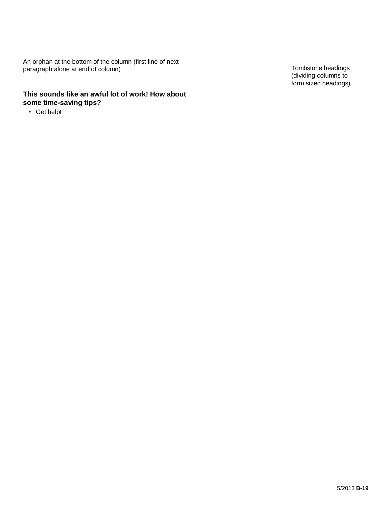An orphan at the bottom of the column (first line of next paragraph alone at end of column) (the third of headings contains the column) Tombstone headings

#### **This sounds like an awful lot of work! How about some time-saving tips?**

• Get help!

(dividing columns to form sized headings)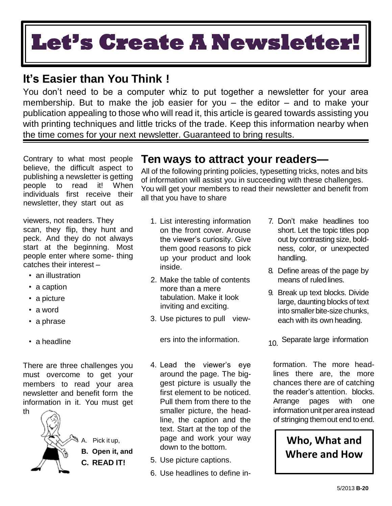# **Let's Create A Newsletter!**

## <span id="page-20-0"></span>**It's Easier than You Think !**

You don't need to be a computer whiz to put together a newsletter for your area membership. But to make the job easier for you  $-$  the editor  $-$  and to make your publication appealing to those who will read it, this article is geared towards assisting you with printing techniques and little tricks of the trade. Keep this information nearby when the time comes for your next newsletter. Guaranteed to bring results.

Contrary to what most people believe, the difficult aspect to publishing a newsletter is getting people to read it! When individuals first receive their newsletter, they start out as

viewers, not readers. They scan, they flip, they hunt and peck. And they do not always start at the beginning. Most people enter where some- thing catches their interest –

- an illustration
- a caption
- a picture
- a word
- a phrase
- 

There are three challenges you must overcome to get your members to read your area newsletter and benefit form the information in it. You must get th

> **B. Open it, and C. READ IT!**



**Ten ways to attract your readers—**

All of the following printing policies, typesetting tricks, notes and bits of information will assist you in succeeding with these challenges. You will get your members to read their newsletter and benefit from all that you have to share

- 1. List interesting information on the front cover. Arouse the viewer's curiosity. Give them good reasons to pick up your product and look inside.
- 2. Make the table of contents more than a mere tabulation. Make it look inviting and exciting.
- 3. Use pictures to pull view-

- 4. Lead the viewer's eye around the page. The biggest picture is usually the first element to be noticed. Pull them from there to the smaller picture, the headline, the caption and the text. Start at the top of the page and work your way down to the bottom.
- 5. Use picture captions.
- 6. Use headlines to define in-
- 7. Don't make headlines too short. Let the topic titles pop out by contrasting size, boldness, color, or unexpected handling.
- 8. Define areas of the page by means of ruled lines.
- 9. Break up text blocks. Divide large, daunting blocks of text into smaller bite-size chunks, each with its own heading.
- a headline **ers** into the information.  $\overline{10}$  Separate large information

formation. The more headlines there are, the more chances there are of catching the reader's attention. blocks. Arrange pages with one information unit per area instead of stringing themout end to end.

### **Who, What and Where and How**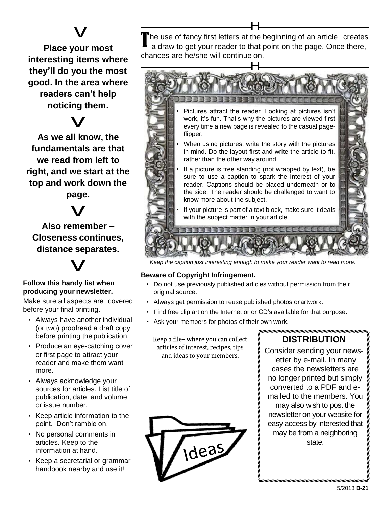## v

<span id="page-21-0"></span>**Place your most interesting items where they'll do you the most good. In the area where readers can't help**  noticing them.<br>V

**As we all know, the fundamentals are that we read from left to right, and we start at the top and work down the**

**page.** v

**Also remember – Closeness continues,**  distance separates.<br>
V

#### **Follow this handy list when producing your newsletter.**

Make sure all aspects are covered before your final printing.

- Always have another individual (or two) proofread a draft copy before printing the publication.
- Produce an eye-catching cover or first page to attract your reader and make them want more.
- Always acknowledge your sources for articles. List title of publication, date, and volume or issue number.
- Keep article information to the point. Don't ramble on.
- No personal comments in articles. Keep to the information at hand.
- Keep a secretarial or grammar handbook nearby and use it!

The use of fancy first letters at the beginning of an article creates<br>a draw to get your reader to that point on the page. Once there, a draw to get your reader to that point on the page. Once there, chances are he/she will continue on.

H



*Keep the caption just interesting enough to make your reader want to read more.*

#### **Beware of Copyright Infringement.**

- Do not use previously published articles without permission from their original source.
- Always get permission to reuse published photos orartwork.
- Find free clip art on the Internet or or CD's available for that purpose.
- Ask your members for photos of their own work.

Keep a file- where you can collect articles of interest, recipes, tips and ideas to your members.



### **DISTRIBUTION**

Consider sending your newsletter by e-mail. In many cases the newsletters are no longer printed but simply converted to a PDF and emailed to the members. You may also wish to post the newsletter on your website for easy access by interested that may be from a neighboring state.